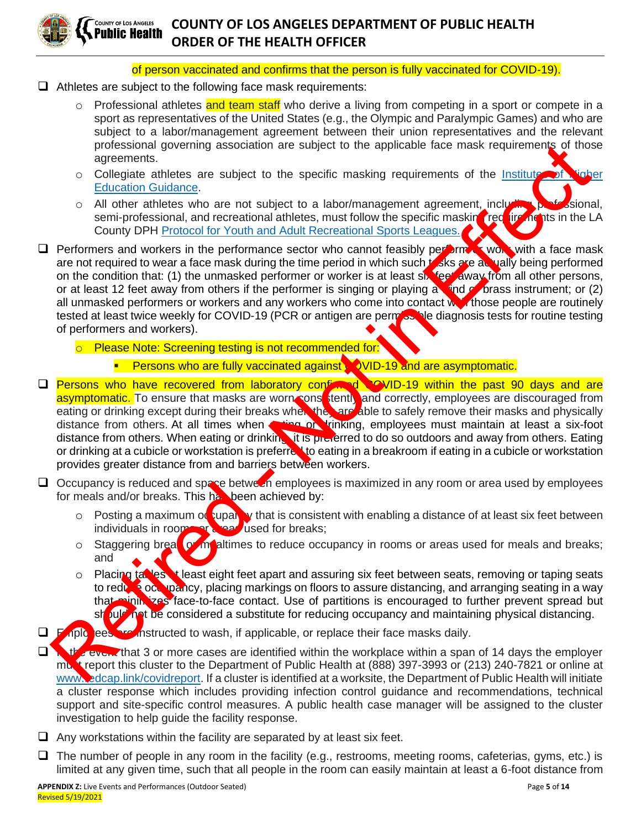

#### of person vaccinated and confirms that the person is fully vaccinated for COVID-19).

- ❑ Athletes are subject to the following face mask requirements:
	- o Professional athletes and team staff who derive a living from competing in a sport or compete in a sport as representatives of the United States (e.g., the Olympic and Paralympic Games) and who are subject to a labor/management agreement between their union representatives and the relevant professional governing association are subject to the applicable face mask requirements of those agreements.
	- $\circ$  Collegiate athletes are subject to the specific masking requirements of the Institute of Nigher Education Guidance.
	- $\circ$  All other athletes who are not subject to a labor/management agreement, including professional, semi-professional, and recreational athletes, must follow the specific masking requirements in the LA County DPH Protocol for Youth and Adult Recreational Sports Leagues.
- $\Box$  Performers and workers in the performance sector who cannot feasibly perform  $\Box$  with a face mask are not required to wear a face mask during the time period in which such tasks are actually being performed on the condition that: (1) the unmasked performer or worker is at least six feet away from all other persons, or at least 12 feet away from others if the performer is singing or playing a  $\Box$  or  $\Box$  brass instrument; or (2) all unmasked performers or workers and any workers who come into contact with those people are routinely tested at least twice weekly for COVID-19 (PCR or antigen are permose ble diagnosis tests for routine testing of performers and workers). pro[f](http://publichealth.lacounty.gov/media/Coronavirus/docs/protocols/Reopening_SportsLeagues.pdf)essional governing association are subje[ct](https://files.covid19.ca.gov/pdf/guidance-higher-education--en.pdf) to the applicable lace mask requirements of the protession and a subject to the specific masking requirements of the <u>Institution</u><br>
Collegiate at the second of the specific ma
	- o Please Note: Screening testing is not recommended for:
		- **Persons who are fully vaccinated against.**  $\bullet$  VID-19 and are asymptomatic.
- ❑ Persons who have recovered from laboratory confirmed COVID-19 within the past 90 days and are asymptomatic. To ensure that masks are worn consistently and correctly, employees are discouraged from eating or drinking except during their breaks when the are able to safely remove their masks and physically distance from others. At all times when **enting or linking**, employees must maintain at least a six-foot distance from others. When eating or drinking it is preferred to do so outdoors and away from others. Eating or drinking at a cubicle or workstation is preferred to eating in a breakroom if eating in a cubicle or workstation provides greater distance from and barriers between workers.
- $\Box$  Occupancy is reduced and space betwet in employees is maximized in any room or area used by employees for meals and/or breaks. This has been achieved by:
	- $\circ$  Posting a maximum of tupancy that is consistent with enabling a distance of at least six feet between individuals in rooms or a read used for breaks;
	- o Staggering breat or mealtimes to reduce occupancy in rooms or areas used for meals and breaks; and
	- o Placing tables **at least eight feet apart and assuring six feet between seats, removing or taping seats** to reduce occupancy, placing markings on floors to assure distancing, and arranging seating in a way that minimizes face-to-face contact. Use of partitions is encouraged to further prevent spread but should not be considered a substitute for reducing occupancy and maintaining physical distancing.
- □ Employees are instructed to wash, if applicable, or replace their face masks daily.
- □ Nothervoin that 3 or more cases are identified within the workplace within a span of 14 days the employer must report this cluster to the Department of Public Health at (888) 397-3993 or (213) 240-7821 or online at www.edcap.link/covidreport. If a cluster is identified at a worksite, the Department of Public Health will initiate a cluster response which includes providing infection control guidance and recommendations, technical support and site-specific control measures. A public health case manager will be assigned to the cluster investigation to help guide the facility response.
- $\Box$  Any workstations within the facility are separated by at least six feet.
- ❑ The number of people in any room in the facility (e.g., restrooms, meeting rooms, cafeterias, gyms, etc.) is limited at any given time, such that all people in the room can easily maintain at least a 6-foot distance from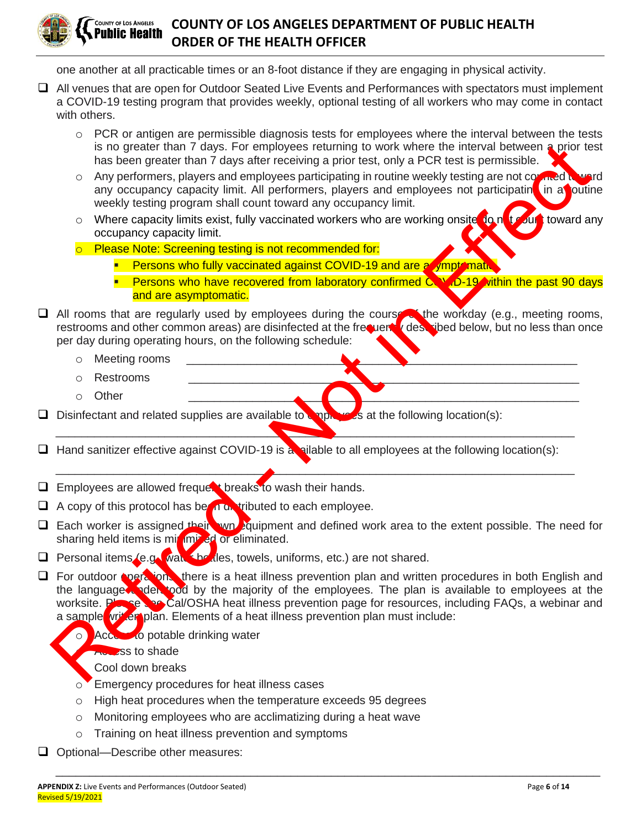

one another at all practicable times or an 8-foot distance if they are engaging in physical activity.

- ❑ All venues that are open for Outdoor Seated Live Events and Performances with spectators must implement a COVID-19 testing program that provides weekly, optional testing of all workers who may come in contact with others.
	- $\circ$  PCR or antigen are permissible diagnosis tests for employees where the interval between the tests is no greater than 7 days. For employees returning to work where the interval between a prior test has been greater than 7 days after receiving a prior test, only a PCR test is permissible.
	- o Any performers, players and employees participating in routine weekly testing are not counted to ward any occupancy capacity limit. All performers, players and employees not participating in a poutine weekly testing program shall count toward any occupancy limit.
	- o Where capacity limits exist, fully vaccinated workers who are working onsite fo not count toward any occupancy capacity limit.
	- o Please Note: Screening testing is not recommended for:
		- **EXECUTE: Persons who fully vaccinated against COVID-19 and are asymptomative**
		- **•** Persons who have recovered from laboratory confirmed COVID-19 within the past 90 days and are asymptomatic.
- □ All rooms that are regularly used by employees during the coursest the workday (e.g., meeting rooms, restrooms and other common areas) are disinfected at the frequency described below, but no less than once per day during operating hours, on the following schedule:
	- $\circ$  Meeting rooms
	- o Restrooms \_\_\_\_\_\_\_\_\_\_\_\_\_\_\_\_\_\_\_\_\_\_\_\_\_\_\_\_\_\_\_\_\_\_\_\_\_\_\_\_\_\_\_\_\_\_\_\_\_\_\_\_\_\_\_\_\_\_\_\_\_
	- o Other \_\_\_\_\_\_\_\_\_\_\_\_\_\_\_\_\_\_\_\_\_\_\_\_\_\_\_\_\_\_\_\_\_\_\_\_\_\_\_\_\_\_\_\_\_\_\_\_\_\_\_\_\_\_\_\_\_\_\_\_\_
- $\Box$  Disinfectant and related supplies are available to employee at the following location(s):
- $\Box$  Hand sanitizer effective against COVID-19 is a silable to all employees at the following location(s):

\_\_\_\_\_\_\_\_\_\_\_\_\_\_\_\_\_\_\_\_\_\_\_\_\_\_\_\_\_\_\_\_\_\_\_\_\_\_\_\_\_\_\_\_\_\_\_\_\_\_\_\_\_\_\_\_\_\_\_\_\_\_\_\_\_\_\_\_\_\_\_\_\_\_\_\_\_\_\_\_\_

 $\blacktriangle$  , and the contribution of the contribution of the contribution of the contribution of the contribution of the contribution of the contribution of the contribution of the contribution of the contribution of the contr

- □ Employees are allowed frequent breaks to wash their hands.
- $\Box$  A copy of this protocol has been distributed to each employee.
- □ Each worker is assigned their wn Fquipment and defined work area to the extent possible. The need for sharing held items is minimized or eliminated.
- $\Box$  Personal items (e.g., wait the des, towels, uniforms, etc.) are not shared.
- □ For outdoor **operations**, there is a heat illness prevention plan and written procedures in both English and the language understood by the majority of the employees. The plan is available to employees at the worksite. Please see Cal/OSHA heat illness prevention page for resources, including FAQs, a webinar and a sample written plan. Elements of a heat illness prevention plan must include: is no greater than 7 days. For employees relucing to work where the interval between a prior to the interval between the interval between the interval and interval and interval and the coupling in the matter of the preform

\_\_\_\_\_\_\_\_\_\_\_\_\_\_\_\_\_\_\_\_\_\_\_\_\_\_\_\_\_\_\_\_\_\_\_\_\_\_\_\_\_\_\_\_\_\_\_\_\_\_\_\_\_\_\_\_\_\_\_\_\_\_\_\_\_\_\_\_\_\_\_\_\_\_\_\_\_\_\_\_\_

- Access to potable drinking water
- how ass to shade
	- Cool down breaks
- o Emergency procedures for heat illness cases
- o High heat procedures when the temperature exceeds 95 degrees
- o Monitoring employees who are acclimatizing during a heat wave
- o Training on heat illness prevention and symptoms
- ❑ Optional—Describe other measures: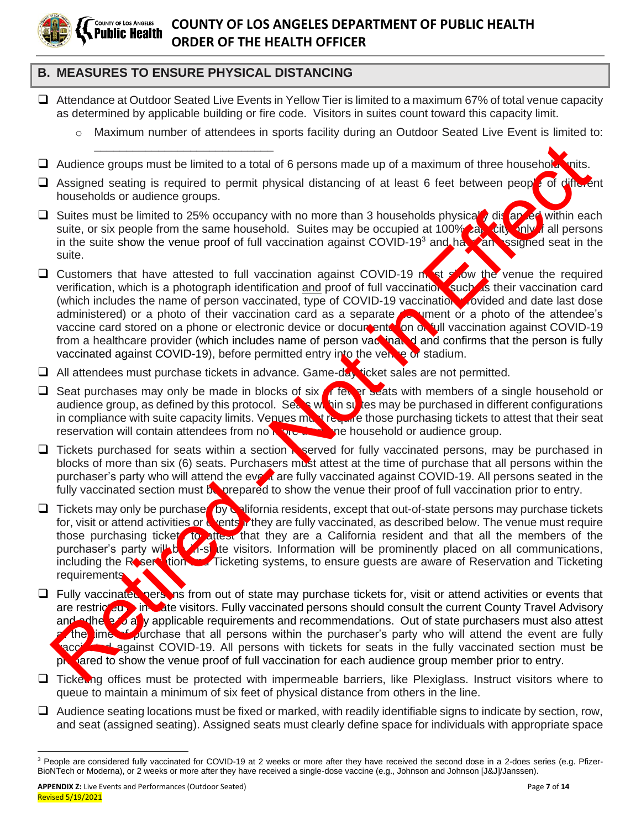

#### **B. MEASURES TO ENSURE PHYSICAL DISTANCING**

\_\_\_\_\_\_\_\_\_\_\_\_\_\_\_\_\_\_\_\_\_\_\_\_\_\_\_\_

- ❑ Attendance at Outdoor Seated Live Events in Yellow Tier is limited to a maximum 67% of total venue capacity as determined by applicable building or fire code. Visitors in suites count toward this capacity limit.
	- o Maximum number of attendees in sports facility during an Outdoor Seated Live Event is limited to:
- □ Audience groups must be limited to a total of 6 persons made up of a maximum of three household vnits.
- □ Assigned seating is required to permit physical distancing of at least 6 feet between people of diffu.ent households or audience groups.
- □ Suites must be limited to 25% occupancy with no more than 3 households physical<sup>t</sup>, dis an ed within each suite, or six people from the same household. Suites may be occupied at 100% as city only if all persons in the suite show the venue proof of full vaccination against COVID-19<sup>3</sup> and have an assigned seat in the suite.
- $\Box$  Customers that have attested to full vaccination against COVID-19 must show the venue the required verification, which is a photograph identification and proof of full vaccination, such as their vaccination card (which includes the name of person vaccinated, type of COVID-19 vaccination provided and date last dose administered) or a photo of their vaccination card as a separate document or a photo of the attendee's vaccine card stored on a phone or electronic device or documentation of full vaccination against COVID-19 from a healthcare provider (which includes name of person vackinated and confirms that the person is fully vaccinated against COVID-19), before permitted entry into the venue or stadium. Audience groups must be limited to a total of 6 persons made up of a maximum of three householders. This assigned seating is required to permit physical distancing of at least 6 feet between people of this couple form the
- □ All attendees must purchase tickets in advance. Game-day ticket sales are not permitted.
- □ Seat purchases may only be made in blocks of six of fewer seats with members of a single household or audience group, as defined by this protocol. Sears within surface may be purchased in different configurations in compliance with suite capacity limits. Venues must require those purchasing tickets to attest that their seat reservation will contain attendees from no more than the household or audience group.
- $\Box$  Tickets purchased for seats within a section reserved for fully vaccinated persons, may be purchased in blocks of more than six (6) seats. Purchasers must attest at the time of purchase that all persons within the purchaser's party who will attend the event are fully vaccinated against COVID-19. All persons seated in the fully vaccinated section must be prepared to show the venue their proof of full vaccination prior to entry.
- □ Tickets may only be purchase by California residents, except that out-of-state persons may purchase tickets for, visit or attend activities or wents in they are fully vaccinated, as described below. The venue must require those purchasing ticket to attest that they are a California resident and that all the members of the purchaser's party will be visitors. Information will be prominently placed on all communications, including the Reservation and Ticketing systems, to ensure guests are aware of Reservation and Ticketing **requirements**
- □ Fully vaccinated persons from out of state may purchase tickets for, visit or attend activities or events that are restricted in the late visitors. Fully vaccinated persons should consult the current County Travel Advisory and adhered a y applicable requirements and recommendations. Out of state purchasers must also attest the time of purchase that all persons within the purchaser's party who will attend the event are fully vaccinated against COVID-19. All persons with tickets for seats in the fully vaccinated section must be prepared to show the venue proof of full vaccination for each audience group member prior to entry.
- □ Ticketing offices must be protected with impermeable barriers, like Plexiglass. Instruct visitors where to queue to maintain a minimum of six feet of physical distance from others in the line.
- $\Box$  Audience seating locations must be fixed or marked, with readily identifiable signs to indicate by section, row, and seat (assigned seating). Assigned seats must clearly define space for individuals with appropriate space

<sup>&</sup>lt;sup>3</sup> People are considered fully vaccinated for COVID-19 at 2 weeks or more after they have received the second dose in a 2-does series (e.g. Pfizer-BioNTech or Moderna), or 2 weeks or more after they have received a single-dose vaccine (e.g., Johnson and Johnson [J&J]/Janssen).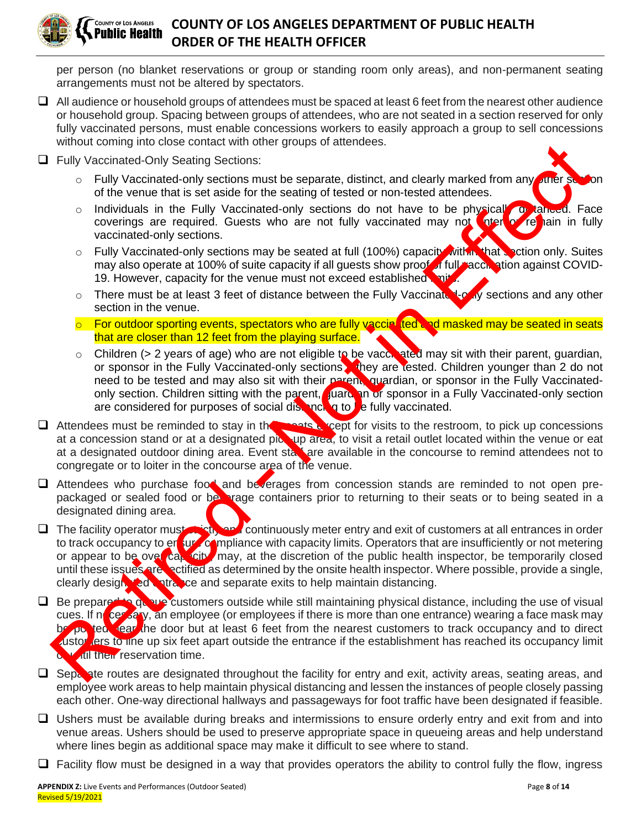

per person (no blanket reservations or group or standing room only areas), and non-permanent seating arrangements must not be altered by spectators.

- $\Box$  All audience or household groups of attendees must be spaced at least 6 feet from the nearest other audience or household group. Spacing between groups of attendees, who are not seated in a section reserved for only fully vaccinated persons, must enable concessions workers to easily approach a group to sell concessions without coming into close contact with other groups of attendees.
- ❑ Fully Vaccinated-Only Seating Sections:
	- $\circ$  Fully Vaccinated-only sections must be separate, distinct, and clearly marked from any other set of the venue that is set aside for the seating of tested or non-tested attendees.
	- o Individuals in the Fully Vaccinated-only sections do not have to be physically or tanced. Face coverings are required. Guests who are not fully vaccinated may not over  $\bullet$  remain in fully vaccinated-only sections.
	- $\circ$  Fully Vaccinated-only sections may be seated at full (100%) capacity within that section only. Suites may also operate at 100% of suite capacity if all guests show proof of full accination against COVID-19. However, capacity for the venue must not exceed established limit
	- $\circ$  There must be at least 3 feet of distance between the Fully Vaccinate Loury sections and any other section in the venue.
	- $\circ$  For outdoor sporting events, spectators who are fully vaccin fed and masked may be seated in seats that are closer than 12 feet from the playing surface.
	- $\circ$  Children (> 2 years of age) who are not eligible to be vaccinated may sit with their parent, guardian, or sponsor in the Fully Vaccinated-only sections they are tested. Children younger than 2 do not need to be tested and may also sit with their parent, quardian, or sponsor in the Fully Vaccinatedonly section. Children sitting with the parent, guardian or sponsor in a Fully Vaccinated-only section are considered for purposes of social distancing to  $\mathbf b$  e fully vaccinated.
- □ Attendees must be reminded to stay in the seats except for visits to the restroom, to pick up concessions at a concession stand or at a designated pick-up area, to visit a retail outlet located within the venue or eat at a designated outdoor dining area. Event starf are available in the concourse to remind attendees not to congregate or to loiter in the concourse area of the venue.
- ❑ Attendees who purchase food and beverages from concession stands are reminded to not open prepackaged or sealed food or be vage containers prior to returning to their seats or to being seated in a designated dining area.
- $\square$  The facility operator must strictly and continuously meter entry and exit of customers at all entrances in order to track occupancy to ensure compliance with capacity limits. Operators that are insufficiently or not metering or appear to be over capacity, may, at the discretion of the public health inspector, be temporarily closed until these issues are rectified as determined by the onsite health inspector. Where possible, provide a single, clearly designated antrance and separate exits to help maintain distancing. What are downly accounted to the groups of authorities.<br>
Fully Vaccinated Only Sections:<br>
Every Vaccinated Only Sections:<br>
C Fully Vaccinated chot is easied for the sealing of Lesical or non-tested altendees.<br>
C Informatio
- □ Be prepared to que customers outside while still maintaining physical distance, including the use of visual cues. If necessary, an employee (or employees if there is more than one entrance) wearing a face mask may be posted rear the door but at least 6 feet from the nearest customers to track occupancy and to direct ustor lers to line up six feet apart outside the entrance if the establishment has reached its occupancy limit *v* ull their reservation time.
- □ Separate routes are designated throughout the facility for entry and exit, activity areas, seating areas, and employee work areas to help maintain physical distancing and lessen the instances of people closely passing each other. One-way directional hallways and passageways for foot traffic have been designated if feasible.
- □ Ushers must be available during breaks and intermissions to ensure orderly entry and exit from and into venue areas. Ushers should be used to preserve appropriate space in queueing areas and help understand where lines begin as additional space may make it difficult to see where to stand.
- $\Box$  Facility flow must be designed in a way that provides operators the ability to control fully the flow, ingress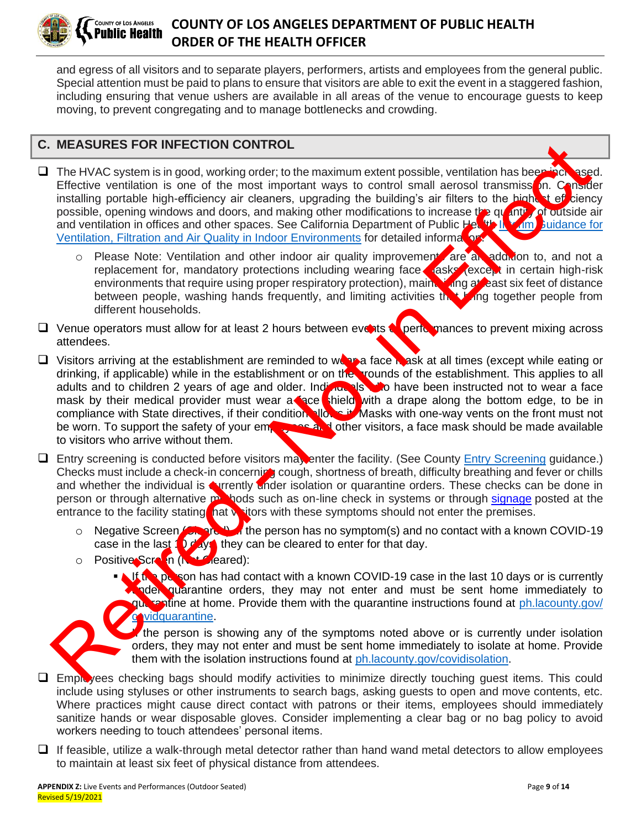

#### **COUNTY OF LOS ANGELES COUNTY OF LOS ANGELES DEPARTMENT OF PUBLIC HEALTH** Public Health **ORDER OF THE HEALTH OFFICER**

and egress of all visitors and to separate players, performers, artists and employees from the general public. Special attention must be paid to plans to ensure that visitors are able to exit the event in a staggered fashion, including ensuring that venue ushers are available in all areas of the venue to encourage guests to keep moving, to prevent congregating and to manage bottlenecks and crowding.

### **C. MEASURES FOR INFECTION CONTROL**

- □ The HVAC system is in good, working order; to the maximum extent possible, ventilation has been increased. Effective ventilation is one of the most important ways to control small aerosol transmission. Consider installing portable high-efficiency air cleaners, upgrading the building's air filters to the highest efficiency possible, opening windows and doors, and making other modifications to increase the quantity of outside air and ventilation in offices and other spaces. See California Department of Public Health Interim Guidance for Ventilation, Filtration and Air Quality in Indoor Environments for detailed information.
	- $\circ$  Please Note: Ventilation and other indoor air quality improvement are an addition to, and not a replacement for, mandatory protections including wearing face dasks (except in certain high-risk environments that require using proper respiratory protection), maintaining at east six feet of distance between people, washing hands frequently, and limiting activities that bring together people from different households.
- □ Venue operators must allow for at least 2 hours between events or performances to prevent mixing across attendees.
- ❑ Visitors arriving at the establishment are reminded to wear a face mask at all times (except while eating or drinking, if applicable) while in the establishment or on the grounds of the establishment. This applies to all adults and to children 2 years of age and older. Individuals who have been instructed not to wear a face mask by their medical provider must wear a face shield with a drape along the bottom edge, to be in compliance with State directives, if their condition allows it. Masks with one-way vents on the front must not<br>be worn. To support the safety of your employees and other visitors, a face mask should be made available  $\sim$  and other visitors, a face mask should be made available to visitors who arrive without them. MEASURES FOR INFECTION CONTROL<br>
The thyliodographics in good, working order to the maximum extent possible, ventilation has boost<br>
Televide ventilation is one of the most limpotative ways to control small are osol transmis
- □ Entry screening is conducted before visitors may enter the facility. (See County Entry Screening guidance.) Checks must include a check-in concerning cough, shortness of breath, difficulty breathing and fever or chills and whether the individual is currently under isolation or quarantine orders. These checks can be done in person or through alternative methods such as on-line check in systems or through signage posted at the entrance to the facility stating hat  $v$  itors with these symptoms should not enter the premises.
	- o Negative Screen **(Cleared).** If the person has no symptom(s) and no contact with a known COVID-19 case in the last  $\bigcirc$  days, they can be cleared to enter for that day.
	- o Positive Screen (Not Cleared):
		- If the person has had contact with a known COVID-19 case in the last 10 days or is currently  $\sqrt{q}$  der quarantine orders, they may not enter and must be sent home immediately to  $q_{\rm bc}$  is at home. Provide them with the quarantine instructions found at ph. lacounty.gov/ vidquarantine.

the person is showing any of the symptoms noted above or is currently under isolation orders, they may not enter and must be sent home immediately to isolate at home. Provide them with the isolation instructions found at ph.lacounty.gov/covidisolation.

- ❑ Employees checking bags should modify activities to minimize directly touching guest items. This could include using styluses or other instruments to search bags, asking guests to open and move contents, etc. Where practices might cause direct contact with patrons or their items, employees should immediately sanitize hands or wear disposable gloves. Consider implementing a clear bag or no bag policy to avoid workers needing to touch attendees' personal items.
- ❑ If feasible, utilize a walk-through metal detector rather than hand wand metal detectors to allow employees to maintain at least six feet of physical distance from attendees.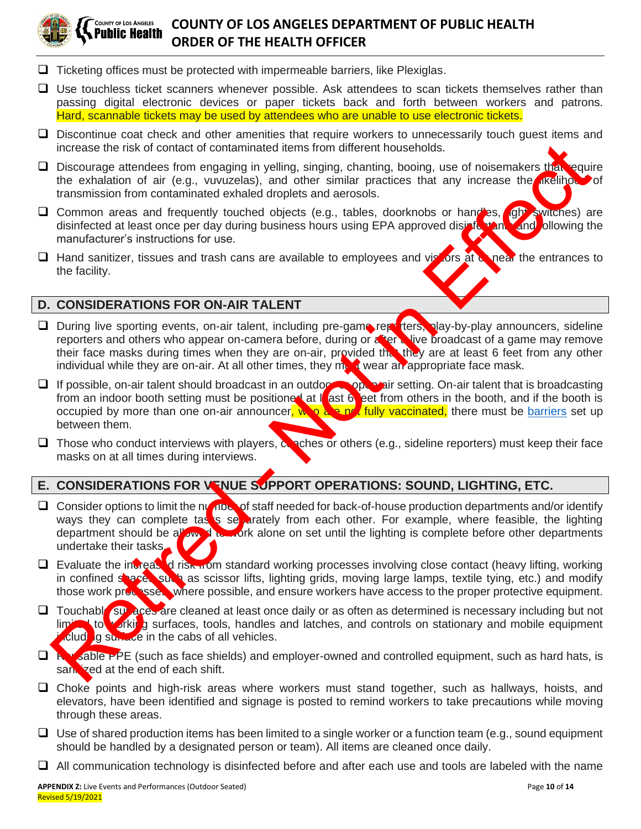

#### COUNTY OF LOS ANGELES **COUNTY OF LOS ANGELES DEPARTMENT OF PUBLIC HEALTH** Public Health **ORDER OF THE HEALTH OFFICER**

- ❑ Ticketing offices must be protected with impermeable barriers, like Plexiglas.
- ❑ Use touchless ticket scanners whenever possible. Ask attendees to scan tickets themselves rather than passing digital electronic devices or paper tickets back and forth between workers and patrons. Hard, scannable tickets may be used by attendees who are unable to use electronic tickets.
- □ Discontinue coat check and other amenities that require workers to unnecessarily touch guest items and increase the risk of contact of contaminated items from different households.
- □ Discourage attendees from engaging in yelling, singing, chanting, booing, use of noisemakers that require the exhalation of air (e.g., vuvuzelas), and other similar practices that any increase the *difference* of transmission from contaminated exhaled droplets and aerosols.
- □ Common areas and frequently touched objects (e.g., tables, doorknobs or handles, **(ght switches)** are disinfected at least once per day during business hours using EPA approved disinfected and and ollowing the manufacturer's instructions for use.
- □ Hand sanitizer, tissues and trash cans are available to employees and visitors at **or** near the entrances to the facility.

#### **D. CONSIDERATIONS FOR ON-AIR TALENT**

- □ During live sporting events, on-air talent, including pre-game reporters, play-by-play announcers, sideline reporters and others who appear on-camera before, during or a tericulive broadcast of a game may remove their face masks during times when they are on-air, provided the they are at least 6 feet from any other individual while they are on-air. At all other times, they must wear an appropriate face mask.
- □ If possible, on-air talent should broadcast in an outdoor spokes air setting. On-air talent that is broadcasting from an indoor booth setting must be positioned at I ast 6 eet from others in the booth, and if the booth is occupied by more than one on-air announcer,  $w \circ a \circ n'$  fully vaccinated, there must be barriers set up between them.
- $\Box$  Those who conduct interviews with players,  $\alpha$  ches or others (e.g., sideline reporters) must keep their face masks on at all times during interviews.

## **E. CONSIDERATIONS FOR VENUE SUPPORT OPERATIONS: SOUND, LIGHTING, ETC.**

- □ Consider options to limit the number of staff needed for back-of-house production departments and/or identify ways they can complete tasis separately from each other. For example, where feasible, the lighting department should be allowed to work alone on set until the lighting is complete before other departments undertake their tasks. increase the island of a contact of contact of contact of contact of contact of contact of contact of contact of contact of contact of contact of contact of contact of contact of contact of contact of contact of contact of
- $\Box$  Evaluate the increased risk from standard working processes involving close contact (heavy lifting, working in confined space such as scissor lifts, lighting grids, moving large lamps, textile tying, etc.) and modify those work processes, where possible, and ensure workers have access to the proper protective equipment.
- $\Box$  Touchable surfaces are cleaned at least once daily or as often as determined is necessary including but not limited to working surfaces, tools, handles and latches, and controls on stationary and mobile equipment  $\cdot$ cluding surface in the cabs of all vehicles.
- □ Revsable PPE (such as face shields) and employer-owned and controlled equipment, such as hard hats, is sant ized at the end of each shift.
- ❑ Choke points and high-risk areas where workers must stand together, such as hallways, hoists, and elevators, have been identified and signage is posted to remind workers to take precautions while moving through these areas.
- $\Box$  Use of shared production items has been limited to a single worker or a function team (e.g., sound equipment should be handled by a designated person or team). All items are cleaned once daily.
- ❑ All communication technology is disinfected before and after each use and tools are labeled with the name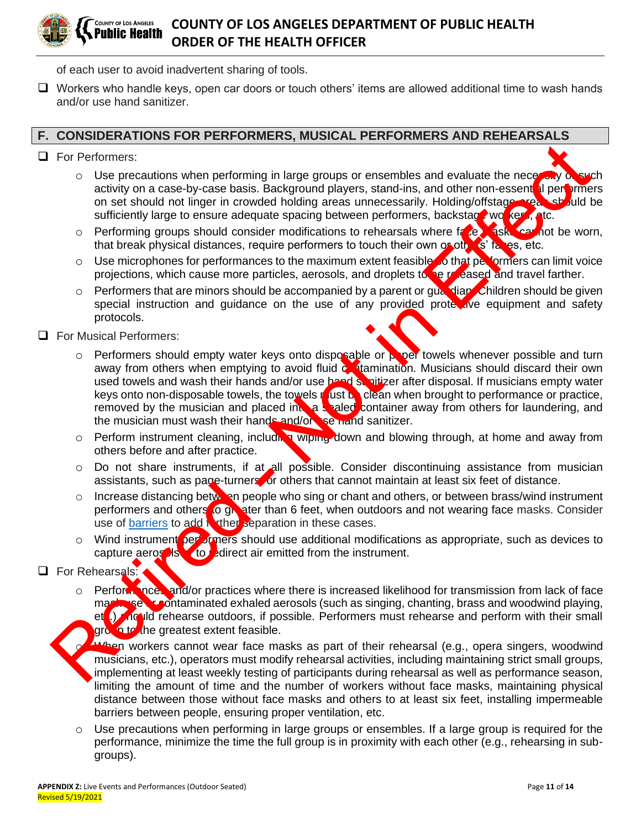

of each user to avoid inadvertent sharing of tools.

❑ Workers who handle keys, open car doors or touch others' items are allowed additional time to wash hands and/or use hand sanitizer.

#### **F. CONSIDERATIONS FOR PERFORMERS, MUSICAL PERFORMERS AND REHEARSALS**

- ❑ For Performers:
	- $\circ$  Use precautions when performing in large groups or ensembles and evaluate the necessity of such activity on a case-by-case basis. Background players, stand-ins, and other non-essent al performers on set should not linger in crowded holding areas unnecessarily. Holding/offstage areas should be sufficiently large to ensure adequate spacing between performers, backstage workers, etc.
	- $\circ$  Performing groups should consider modifications to rehearsals where face was cannot be worn, that break physical distances, require performers to touch their own or others' faces, etc.
	- $\circ$  Use microphones for performances to the maximum extent feasible to that performers can limit voice projections, which cause more particles, aerosols, and droplets to be released and travel farther.
	- o Performers that are minors should be accompanied by a parent or guardian. Children should be given special instruction and guidance on the use of any provided prote tive equipment and safety protocols.
- ❑ For Musical Performers:
- $\circ$  Performers should empty water keys onto disposable or proof towels whenever possible and turn away from others when emptying to avoid fluid  $\epsilon$ , tamination. Musicians should discard their own used towels and wash their hands and/or use hand sanitizer after disposal. If musicians empty water keys onto non-disposable towels, the towels must be clean when brought to performance or practice, removed by the musician and placed into a sealed container away from others for laundering, and the musician must wash their hands and/or seriand sanitizer. For P[e](http://publichealth.lacounty.gov/media/coronavirus/docs/food/GuidanceUseofBarriers.pdf)rformers:<br>  $\frac{1}{2}$  Conseil and providing the lange groups or ensembles and evaluate the necession activity on a case-by-case basis. Background players, stand-line, and other non-essemble on set should not line in c
	- $\circ$  Perform instrument cleaning, including wiping down and blowing through, at home and away from others before and after practice.
	- $\circ$  Do not share instruments, if at all possible. Consider discontinuing assistance from musician assistants, such as page-turners or others that cannot maintain at least six feet of distance.
	- Increase distancing between people who sing or chant and others, or between brass/wind instrument performers and others to greater than 6 feet, when outdoors and not wearing face masks. Consider use of barriers to add  $\sqrt{\tau}$  then separation in these cases.
	- $\circ$  Wind instrument per ormers should use additional modifications as appropriate, such as devices to capture aeros  $\log$  to redirect air emitted from the instrument.
- ❑ For Rehearsals:
	- o Performances and/or practices where there is increased likelihood for transmission from lack of face mask use contaminated exhaled aerosols (such as singing, chanting, brass and woodwind playing, et<sup>t</sup>.) And Id rehearse outdoors, if possible. Performers must rehearse and perform with their small group to the greatest extent feasible.
	- When workers cannot wear face masks as part of their rehearsal (e.g., opera singers, woodwind musicians, etc.), operators must modify rehearsal activities, including maintaining strict small groups, implementing at least weekly testing of participants during rehearsal as well as performance season, limiting the amount of time and the number of workers without face masks, maintaining physical distance between those without face masks and others to at least six feet, installing impermeable barriers between people, ensuring proper ventilation, etc.
	- $\circ$  Use precautions when performing in large groups or ensembles. If a large group is required for the performance, minimize the time the full group is in proximity with each other (e.g., rehearsing in subgroups).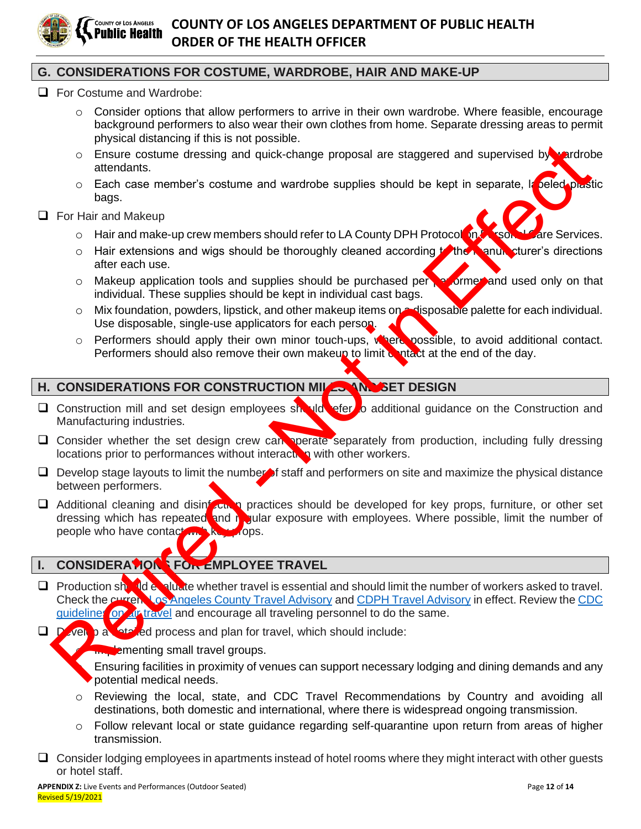

### **G. CONSIDERATIONS FOR COSTUME, WARDROBE, HAIR AND MAKE-UP**

- ❑ For Costume and Wardrobe:
	- $\circ$  Consider options that allow performers to arrive in their own wardrobe. Where feasible, encourage background performers to also wear their own clothes from home. Separate dressing areas to permit physical distancing if this is not possible.
	- $\circ$  Ensure costume dressing and quick-change proposal are staggered and supervised by wardrobe attendants.
	- o Each case member's costume and wardrobe supplies should be kept in separate, la peled plastic bags.
- ❑ For Hair and Makeup
	- o Hair and make-up crew members should refer to LA County DPH Protocol on Personal Care Services.
	- o Hair extensions and wigs should be thoroughly cleaned according to the manum sturer's directions after each use.
	- o Makeup application tools and supplies should be purchased persormer and used only on that individual. These supplies should be kept in individual cast bags.
	- o Mix foundation, powders, lipstick, and other makeup items on a disposable palette for each individual. Use disposable, single-use applicators for each person.
	- $\circ$  Performers should apply their own minor touch-ups, where possible, to avoid additional contact. Performers should also remove their own makeup to limit  $\alpha$  ptact at the end of the day.

#### **H. CONSIDERATIONS FOR CONSTRUCTION MILLS AND SET DESIGN**

- □ Construction mill and set design employees should refer to additional guidance on the Construction and Manufacturing industries.
- $\Box$  Consider whether the set design crew can operate separately from production, including fully dressing locations prior to performances without interaction with other workers.
- $\Box$  Develop stage layouts to limit the number of staff and performers on site and maximize the physical distance between performers.
- □ Additional cleaning and disint cinco practices should be developed for key props, furniture, or other set dressing which has repeated and regular exposure with employees. Where possible, limit the number of people who have contact with key pops. Const[i](http://www.publichealth.lacounty.gov/media/Coronavirus/traveladvisory.htm)tuting into the set design employees and the proposal are staggered and supervised by a constraints.<br>
For that and Makeup<br>
o Each case member's costume and wardrobe supplies should be kept in separate, it select<br>
or

## **I.** CONSIDERATIONS FOR EMPLOYEE TRAVEL

- □ Production should evaluate whether travel is essential and should limit the number of workers asked to travel. Check the current Los Angeles County Travel Advisory and CDPH Travel Advisory in effect. Review the CDC guidelines on article and encourage all traveling personnel to do the same.
- $\Box$  Develop a latelled process and plan for travel, which should include:

**E** amenting small travel groups.

Ensuring facilities in proximity of venues can support necessary lodging and dining demands and any potential medical needs.

- o Reviewing the local, state, and CDC Travel Recommendations by Country and avoiding all destinations, both domestic and international, where there is widespread ongoing transmission.
- o Follow relevant local or state guidance regarding self-quarantine upon return from areas of higher transmission.
- ❑ Consider lodging employees in apartments instead of hotel rooms where they might interact with other guests or hotel staff.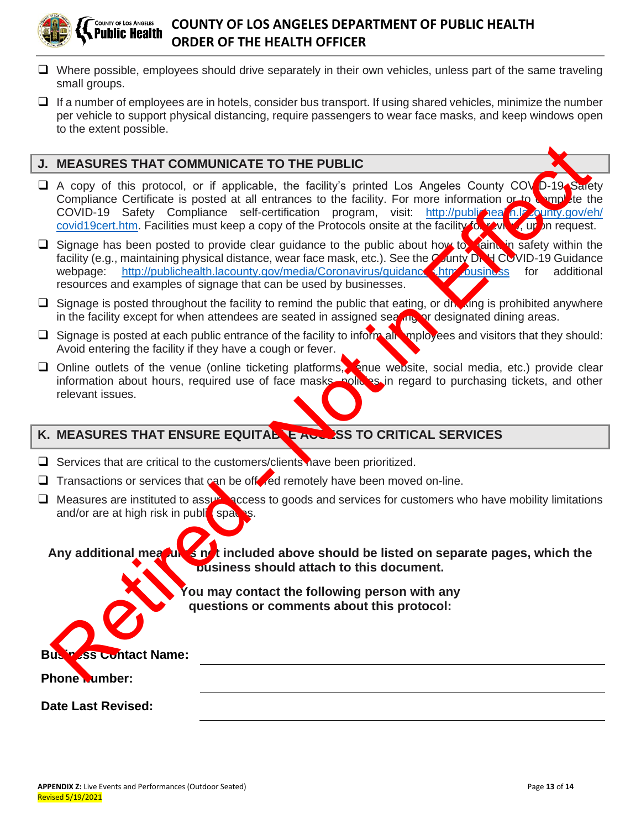

- ❑ Where possible, employees should drive separately in their own vehicles, unless part of the same traveling small groups.
- ❑ If a number of employees are in hotels, consider bus transport. If using shared vehicles, minimize the number per vehicle to support physical distancing, require passengers to wear face masks, and keep windows open to the extent possible.

#### **J. MEASURES THAT COMMUNICATE TO THE PUBLIC**

- □ A copy of this protocol, or if applicable, the facility's printed Los Angeles County COV<sub>I</sub>D-19 Sarety Compliance Certificate is posted at all entrances to the facility. For more information or to complete the COVID-19 Safety Compliance self-certification program, visit: http://publizineal.nlp.county.gov/eh/ covid19cert.htm. Facilities must keep a copy of the Protocols onsite at the facility for you will be request. MEASURES THAT COMMUNICATE TO THE PUBLIC<br>
A copy of this protocol, or if applicable, the facility's printed Los Angeles County COMETIS<br>
COVID-19 Stately Compliance selected at all contained to pro[fec](http://publichealth.lacounty.gov/eh/covid19cert.htm)t in the motivation in<br>
- □ Signage has been posted to provide clear guidance to the public about how to maintain in safety within the facility (e.g., maintaining physical distance, wear face mask, etc.). See the County DRH COVID-19 Guidance webpage: http://publichealth.lacounty.gov/media/Coronavirus/guidances.htm business for additional resources and examples of signage that can be used by businesses.
- □ Signage is posted throughout the facility to remind the public that eating, or dhe ting is prohibited anywhere in the facility except for when attendees are seated in assigned seating or designated dining areas.
- $\Box$  Signage is posted at each public entrance of the facility to inform all employees and visitors that they should: Avoid entering the facility if they have a cough or fever.
- □ Online outlets of the venue (online ticketing platforms, enue website, social media, etc.) provide clear information about hours, required use of face masks, policies in regard to purchasing tickets, and other relevant issues.

## **K. MEASURES THAT ENSURE EQUITABLE ACCESS TO CRITICAL SERVICES**

❑ Services that are critical to the customers/clients have been prioritized.

□ Transactions or services that can be oft red remotely have been moved on-line.

□ Measures are instituted to assure access to goods and services for customers who have mobility limitations and/or are at high risk in public spaces.

Any additional mea**gules not** included above should be listed on separate pages, which the **business should attach to this document.**

> **You may contact the following person with any questions or comments about this protocol:**

**Business Contact Name:** 

#### **Phone Number:**

**Date Last Revised:**